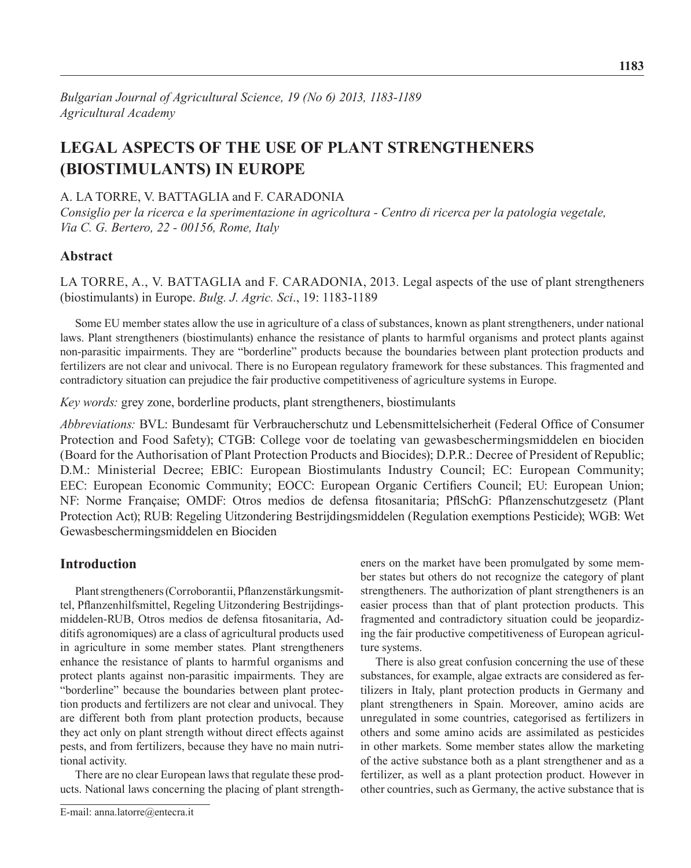**1183**

# **Legal aspects of the use of plant strengtheners (biostimulants) in Europe**

## A. La Torre, V. Battaglia and F. Caradonia

*Consiglio per la ricerca e la sperimentazione in agricoltura - Centro di ricerca per la patologia vegetale, Via C. G. Bertero, 22 - 00156, Rome, Italy*

# **Abstract**

LA TORRE, A., V. BATTAGLIA and F. CARADONIA, 2013. Legal aspects of the use of plant strengtheners (biostimulants) in Europe. *Bulg. J. Agric. Sci*., 19: 1183-1189

Some EU member states allow the use in agriculture of a class of substances, known as plant strengtheners, under national laws. Plant strengtheners (biostimulants) enhance the resistance of plants to harmful organisms and protect plants against non-parasitic impairments. They are "borderline" products because the boundaries between plant protection products and fertilizers are not clear and univocal. There is no European regulatory framework for these substances. This fragmented and contradictory situation can prejudice the fair productive competitiveness of agriculture systems in Europe.

*Key words:* grey zone, borderline products, plant strengtheners, biostimulants

*Abbreviations:* BVL: Bundesamt für Verbraucherschutz und Lebensmittelsicherheit (Federal Office of Consumer Protection and Food Safety); CTGB: College voor de toelating van gewasbeschermingsmiddelen en biociden (Board for the Authorisation of Plant Protection Products and Biocides); D.P.R.: Decree of President of Republic; D.M.: Ministerial Decree; EBIC: European Biostimulants Industry Council; EC: European Community; EEC: European Economic Community; EOCC: European Organic Certifiers Council; EU: European Union; NF: Norme Française; OMDF: Otros medios de defensa fitosanitaria; PflSchG: Pflanzenschutzgesetz (Plant Protection Act); RUB: Regeling Uitzondering Bestrijdingsmiddelen (Regulation exemptions Pesticide); WGB: Wet Gewasbeschermingsmiddelen en Biociden

# **Introduction**

Plant strengtheners (Corroborantii, Pflanzenstärkungsmittel, Pflanzenhilfsmittel, Regeling Uitzondering Bestrijdingsmiddelen-RUB, Otros medios de defensa fitosanitaria, Additifs agronomiques) are a class of agricultural products used in agriculture in some member states*.* Plant strengtheners enhance the resistance of plants to harmful organisms and protect plants against non-parasitic impairments. They are "borderline" because the boundaries between plant protection products and fertilizers are not clear and univocal. They are different both from plant protection products, because they act only on plant strength without direct effects against pests, and from fertilizers, because they have no main nutritional activity.

There are no clear European laws that regulate these products. National laws concerning the placing of plant strength-

eners on the market have been promulgated by some member states but others do not recognize the category of plant strengtheners. The authorization of plant strengtheners is an easier process than that of plant protection products. This fragmented and contradictory situation could be jeopardizing the fair productive competitiveness of European agriculture systems.

There is also great confusion concerning the use of these substances, for example, algae extracts are considered as fertilizers in Italy, plant protection products in Germany and plant strengtheners in Spain. Moreover, amino acids are unregulated in some countries, categorised as fertilizers in others and some amino acids are assimilated as pesticides in other markets. Some member states allow the marketing of the active substance both as a plant strengthener and as a fertilizer, as well as a plant protection product. However in other countries, such as Germany, the active substance that is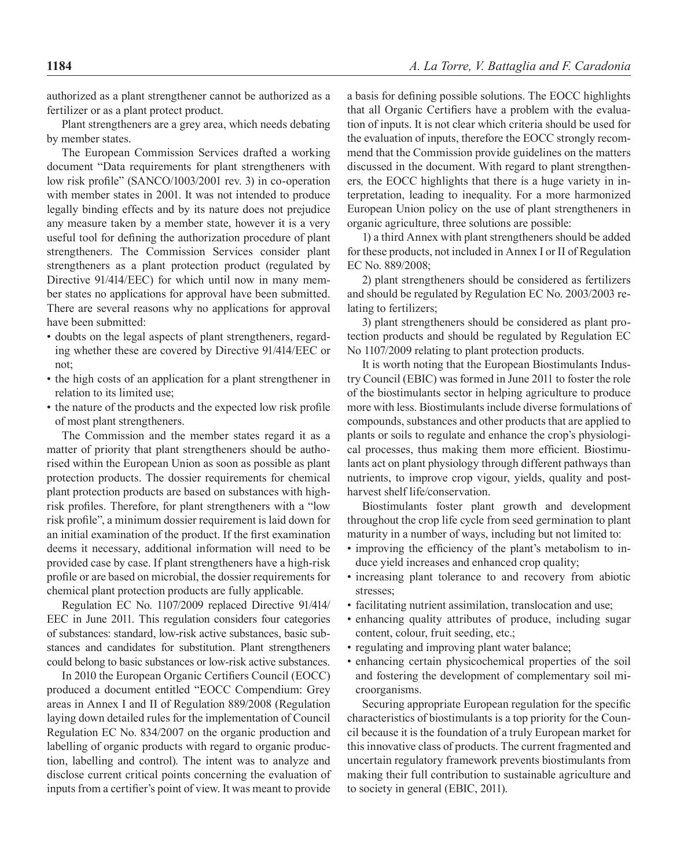authorized as a plant strengthener cannot be authorized as a fertilizer or as a plant protect product.

Plant strengtheners are a grey area, which needs debating by member states.

The European Commission Services drafted a working document "Data requirements for plant strengtheners with low risk profile" (SANCO/1003/2001 rev. 3) in co-operation with member states in 2001. It was not intended to produce legally binding effects and by its nature does not prejudice any measure taken by a member state, however it is a very useful tool for defining the authorization procedure of plant strengtheners. The Commission Services consider plant strengtheners as a plant protection product (regulated by Directive 91/414/EEC) for which until now in many member states no applications for approval have been submitted. There are several reasons why no applications for approval have been submitted:

- doubts on the legal aspects of plant strengtheners, regarding whether these are covered by Directive 91/414/EEC or not;
- the high costs of an application for a plant strengthener in relation to its limited use;
- the nature of the products and the expected low risk profile of most plant strengtheners.

The Commission and the member states regard it as a matter of priority that plant strengtheners should be authorised within the European Union as soon as possible as plant protection products. The dossier requirements for chemical plant protection products are based on substances with highrisk profiles. Therefore, for plant strengtheners with a "low risk profile", a minimum dossier requirement is laid down for an initial examination of the product. If the first examination deems it necessary, additional information will need to be provided case by case. If plant strengtheners have a high-risk profile or are based on microbial, the dossier requirements for chemical plant protection products are fully applicable.

Regulation EC No. 1107/2009 replaced Directive 91/414/ EEC in June 2011. This regulation considers four categories of substances: standard, low-risk active substances, basic substances and candidates for substitution. Plant strengtheners could belong to basic substances or low-risk active substances.

In 2010 the European Organic Certifiers Council (EOCC) produced a document entitled "EOCC Compendium: Grey areas in Annex I and II of Regulation 889/2008 (Regulation laying down detailed rules for the implementation of Council Regulation EC No. 834/2007 on the organic production and labelling of organic products with regard to organic production, labelling and control). The intent was to analyze and disclose current critical points concerning the evaluation of inputs from a certifier's point of view. It was meant to provide a basis for defining possible solutions. The EOCC highlights that all Organic Certifiers have a problem with the evaluation of inputs. It is not clear which criteria should be used for the evaluation of inputs, therefore the EOCC strongly recommend that the Commission provide guidelines on the matters discussed in the document. With regard to plant strengtheners*,* the EOCC highlights that there is a huge variety in interpretation, leading to inequality. For a more harmonized European Union policy on the use of plant strengtheners in organic agriculture, three solutions are possible:

1) a third Annex with plant strengtheners should be added for these products, not included in Annex I or II of Regulation EC No. 889/2008;

2) plant strengtheners should be considered as fertilizers and should be regulated by Regulation EC No. 2003/2003 relating to fertilizers;

3) plant strengtheners should be considered as plant protection products and should be regulated by Regulation EC No 1107/2009 relating to plant protection products.

It is worth noting that the European Biostimulants Industry Council (EBIC) was formed in June 2011 to foster the role of the biostimulants sector in helping agriculture to produce more with less. Biostimulants include diverse formulations of compounds, substances and other products that are applied to plants or soils to regulate and enhance the crop's physiological processes, thus making them more efficient. Biostimulants act on plant physiology through different pathways than nutrients, to improve crop vigour, yields, quality and postharvest shelf life/conservation.

Biostimulants foster plant growth and development throughout the crop life cycle from seed germination to plant maturity in a number of ways, including but not limited to:

- improving the efficiency of the plant's metabolism to induce yield increases and enhanced crop quality;
- increasing plant tolerance to and recovery from abiotic stresses;
- facilitating nutrient assimilation, translocation and use;
- enhancing quality attributes of produce, including sugar content, colour, fruit seeding, etc.;
- regulating and improving plant water balance;
- enhancing certain physicochemical properties of the soil and fostering the development of complementary soil microorganisms.

Securing appropriate European regulation for the specific characteristics of biostimulants is a top priority for the Council because it is the foundation of a truly European market for this innovative class of products. The current fragmented and uncertain regulatory framework prevents biostimulants from making their full contribution to sustainable agriculture and to society in general (EBIC, 2011).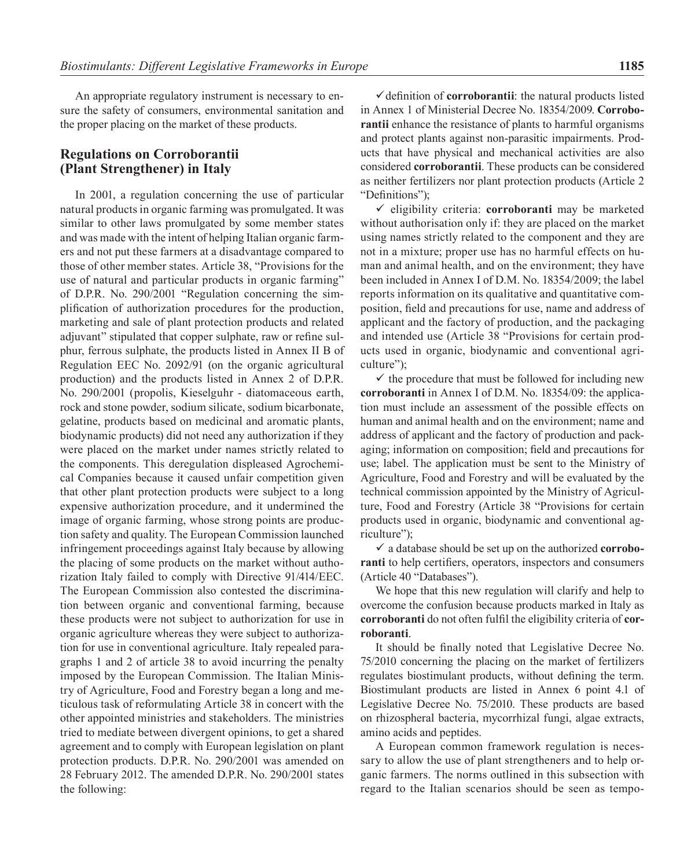An appropriate regulatory instrument is necessary to ensure the safety of consumers, environmental sanitation and the proper placing on the market of these products.

#### **Regulations on Corroborantii (Plant Strengthener) in Italy**

In 2001, a regulation concerning the use of particular natural products in organic farming was promulgated. It was similar to other laws promulgated by some member states and was made with the intent of helping Italian organic farmers and not put these farmers at a disadvantage compared to those of other member states. Article 38, "Provisions for the use of natural and particular products in organic farming" of D.P.R. No. 290/2001 "Regulation concerning the simplification of authorization procedures for the production, marketing and sale of plant protection products and related adjuvant" stipulated that copper sulphate, raw or refine sulphur, ferrous sulphate, the products listed in Annex II B of Regulation EEC No. 2092/91 (on the organic agricultural production) and the products listed in Annex 2 of D.P.R. No. 290/2001 (propolis, Kieselguhr - diatomaceous earth, rock and stone powder, sodium silicate, sodium bicarbonate, gelatine, products based on medicinal and aromatic plants, biodynamic products) did not need any authorization if they were placed on the market under names strictly related to the components. This deregulation displeased Agrochemical Companies because it caused unfair competition given that other plant protection products were subject to a long expensive authorization procedure, and it undermined the image of organic farming, whose strong points are production safety and quality. The European Commission launched infringement proceedings against Italy because by allowing the placing of some products on the market without authorization Italy failed to comply with Directive 91/414/EEC. The European Commission also contested the discrimination between organic and conventional farming, because these products were not subject to authorization for use in organic agriculture whereas they were subject to authorization for use in conventional agriculture. Italy repealed paragraphs 1 and 2 of article 38 to avoid incurring the penalty imposed by the European Commission. The Italian Ministry of Agriculture, Food and Forestry began a long and meticulous task of reformulating Article 38 in concert with the other appointed ministries and stakeholders. The ministries tried to mediate between divergent opinions, to get a shared agreement and to comply with European legislation on plant protection products. D.P.R. No. 290/2001 was amended on 28 February 2012. The amended D.P.R. No. 290/2001 states the following:

 $\checkmark$  definition of **corroborantii**: the natural products listed in Annex 1 of Ministerial Decree No. 18354/2009. **Corroborantii** enhance the resistance of plants to harmful organisms and protect plants against non-parasitic impairments. Products that have physical and mechanical activities are also considered **corroborantii**. These products can be considered as neither fertilizers nor plant protection products (Article 2 "Definitions");

 $\checkmark$  eligibility criteria: **corroboranti** may be marketed without authorisation only if: they are placed on the market using names strictly related to the component and they are not in a mixture; proper use has no harmful effects on human and animal health, and on the environment; they have been included in Annex I of D.M. No. 18354/2009; the label reports information on its qualitative and quantitative composition, field and precautions for use, name and address of applicant and the factory of production, and the packaging and intended use (Article 38 "Provisions for certain products used in organic, biodynamic and conventional agriculture");

 $\checkmark$  the procedure that must be followed for including new **corroboranti** in Annex I of D.M. No. 18354/09: the application must include an assessment of the possible effects on human and animal health and on the environment; name and address of applicant and the factory of production and packaging; information on composition; field and precautions for use; label. The application must be sent to the Ministry of Agriculture, Food and Forestry and will be evaluated by the technical commission appointed by the Ministry of Agriculture, Food and Forestry (Article 38 "Provisions for certain products used in organic, biodynamic and conventional agriculture");

9 a database should be set up on the authorized **corroboranti** to help certifiers, operators, inspectors and consumers (Article 40 "Databases").

We hope that this new regulation will clarify and help to overcome the confusion because products marked in Italy as **corroboranti** do not often fulfil the eligibility criteria of **corroboranti**.

It should be finally noted that Legislative Decree No. 75/2010 concerning the placing on the market of fertilizers regulates biostimulant products, without defining the term. Biostimulant products are listed in Annex 6 point 4.1 of Legislative Decree No. 75/2010. These products are based on rhizospheral bacteria, mycorrhizal fungi, algae extracts, amino acids and peptides.

A European common framework regulation is necessary to allow the use of plant strengtheners and to help organic farmers. The norms outlined in this subsection with regard to the Italian scenarios should be seen as tempo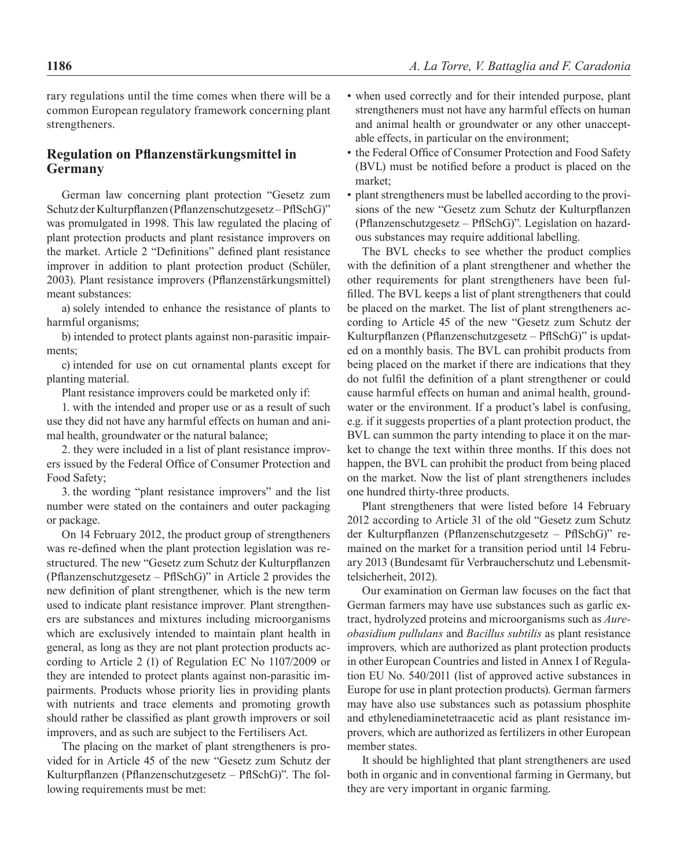rary regulations until the time comes when there will be a common European regulatory framework concerning plant strengtheners.

#### **Regulation on Pflanzenstärkungsmittel in Germany**

German law concerning plant protection "Gesetz zum Schutz der Kulturpflanzen (Pflanzenschutzgesetz – PflSchG)" was promulgated in 1998. This law regulated the placing of plant protection products and plant resistance improvers on the market. Article 2 "Definitions" defined plant resistance improver in addition to plant protection product (Schüler, 2003). Plant resistance improvers (Pflanzenstärkungsmittel) meant substances:

a) solely intended to enhance the resistance of plants to harmful organisms;

b) intended to protect plants against non-parasitic impairments;

c) intended for use on cut ornamental plants except for planting material.

Plant resistance improvers could be marketed only if:

1. with the intended and proper use or as a result of such use they did not have any harmful effects on human and animal health, groundwater or the natural balance;

2. they were included in a list of plant resistance improvers issued by the Federal Office of Consumer Protection and Food Safety;

3. the wording "plant resistance improvers" and the list number were stated on the containers and outer packaging or package.

On 14 February 2012, the product group of strengtheners was re-defined when the plant protection legislation was restructured. The new "Gesetz zum Schutz der Kulturpflanzen (Pflanzenschutzgesetz – PflSchG)" in Article 2 provides the new definition of plant strengthener*,* which is the new term used to indicate plant resistance improver*.* Plant strengtheners are substances and mixtures including microorganisms which are exclusively intended to maintain plant health in general, as long as they are not plant protection products according to Article 2 (1) of Regulation EC No 1107/2009 or they are intended to protect plants against non-parasitic impairments. Products whose priority lies in providing plants with nutrients and trace elements and promoting growth should rather be classified as plant growth improvers or soil improvers, and as such are subject to the Fertilisers Act.

The placing on the market of plant strengtheners is provided for in Article 45 of the new "Gesetz zum Schutz der Kulturpflanzen (Pflanzenschutzgesetz – PflSchG)". The following requirements must be met:

- when used correctly and for their intended purpose, plant strengtheners must not have any harmful effects on human and animal health or groundwater or any other unacceptable effects, in particular on the environment;
- the Federal Office of Consumer Protection and Food Safety (BVL) must be notified before a product is placed on the market;
- plant strengtheners must be labelled according to the provisions of the new "Gesetz zum Schutz der Kulturpflanzen (Pflanzenschutzgesetz – PflSchG)". Legislation on hazardous substances may require additional labelling.

The BVL checks to see whether the product complies with the definition of a plant strengthener and whether the other requirements for plant strengtheners have been fulfilled. The BVL keeps a list of plant strengtheners that could be placed on the market. The list of plant strengtheners according to Article 45 of the new "Gesetz zum Schutz der Kulturpflanzen (Pflanzenschutzgesetz – PflSchG)" is updated on a monthly basis. The BVL can prohibit products from being placed on the market if there are indications that they do not fulfil the definition of a plant strengthener or could cause harmful effects on human and animal health, groundwater or the environment. If a product's label is confusing, e.g. if it suggests properties of a plant protection product, the BVL can summon the party intending to place it on the market to change the text within three months. If this does not happen, the BVL can prohibit the product from being placed on the market. Now the list of plant strengtheners includes one hundred thirty-three products.

Plant strengtheners that were listed before 14 February 2012 according to Article 31 of the old "Gesetz zum Schutz der Kulturpflanzen (Pflanzenschutzgesetz – PflSchG)" remained on the market for a transition period until 14 February 2013 (Bundesamt für Verbraucherschutz und Lebensmittelsicherheit, 2012).

Our examination on German law focuses on the fact that German farmers may have use substances such as garlic extract, hydrolyzed proteins and microorganisms such as *Aureobasidium pullulans* and *Bacillus subtilis* as plant resistance improvers*,* which are authorized as plant protection products in other European Countries and listed in Annex I of Regulation EU No. 540/2011 (list of approved active substances in Europe for use in plant protection products). German farmers may have also use substances such as potassium phosphite and ethylenediaminetetraacetic acid as plant resistance improvers*,* which are authorized as fertilizers in other European member states.

It should be highlighted that plant strengtheners are used both in organic and in conventional farming in Germany, but they are very important in organic farming.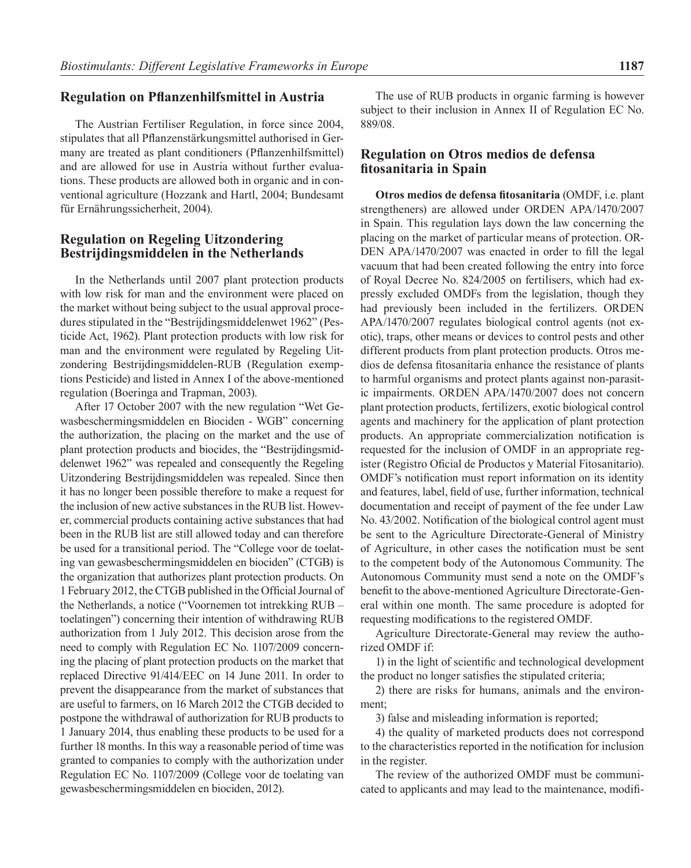#### **Regulation on Pflanzenhilfsmittel in Austria**

The Austrian Fertiliser Regulation, in force since 2004, stipulates that all Pflanzenstärkungsmittel authorised in Germany are treated as plant conditioners (Pflanzenhilfsmittel) and are allowed for use in Austria without further evaluations. These products are allowed both in organic and in conventional agriculture (Hozzank and Hartl, 2004; Bundesamt für Ernährungssicherheit, 2004).

#### **Regulation on Regeling Uitzondering Bestrijdingsmiddelen in the Netherlands**

In the Netherlands until 2007 plant protection products with low risk for man and the environment were placed on the market without being subject to the usual approval procedures stipulated in the "Bestrijdingsmiddelenwet 1962" (Pesticide Act, 1962). Plant protection products with low risk for man and the environment were regulated by Regeling Uitzondering Bestrijdingsmiddelen-RUB (Regulation exemptions Pesticide) and listed in Annex I of the above-mentioned regulation (Boeringa and Trapman, 2003).

After 17 October 2007 with the new regulation "Wet Gewasbeschermingsmiddelen en Biociden - WGB" concerning the authorization, the placing on the market and the use of plant protection products and biocides, the "Bestrijdingsmiddelenwet 1962" was repealed and consequently the Regeling Uitzondering Bestrijdingsmiddelen was repealed. Since then it has no longer been possible therefore to make a request for the inclusion of new active substances in the RUB list. However, commercial products containing active substances that had been in the RUB list are still allowed today and can therefore be used for a transitional period. The "College voor de toelating van gewasbeschermingsmiddelen en biociden" (CTGB) is the organization that authorizes plant protection products. On 1 February 2012, the CTGB published in the Official Journal of the Netherlands, a notice ("Voornemen tot intrekking RUB – toelatingen") concerning their intention of withdrawing RUB authorization from 1 July 2012. This decision arose from the need to comply with Regulation EC No. 1107/2009 concerning the placing of plant protection products on the market that replaced Directive 91/414/EEC on 14 June 2011. In order to prevent the disappearance from the market of substances that are useful to farmers, on 16 March 2012 the CTGB decided to postpone the withdrawal of authorization for RUB products to 1 January 2014, thus enabling these products to be used for a further 18 months. In this way a reasonable period of time was granted to companies to comply with the authorization under Regulation EC No. 1107/2009 (College voor de toelating van gewasbeschermingsmiddelen en biociden, 2012).

The use of RUB products in organic farming is however subject to their inclusion in Annex II of Regulation EC No. 889/08.

#### **Regulation on Otros medios de defensa fitosanitaria in Spain**

**Otros medios de defensa fitosanitaria** (OMDF, i.e. plant strengtheners) are allowed under ORDEN APA/1470/2007 in Spain. This regulation lays down the law concerning the placing on the market of particular means of protection. OR-DEN APA/1470/2007 was enacted in order to fill the legal vacuum that had been created following the entry into force of Royal Decree No. 824/2005 on fertilisers, which had expressly excluded OMDFs from the legislation, though they had previously been included in the fertilizers. ORDEN APA/1470/2007 regulates biological control agents (not exotic), traps, other means or devices to control pests and other different products from plant protection products. Otros medios de defensa fitosanitaria enhance the resistance of plants to harmful organisms and protect plants against non-parasitic impairments. ORDEN APA/1470/2007 does not concern plant protection products, fertilizers, exotic biological control agents and machinery for the application of plant protection products. An appropriate commercialization notification is requested for the inclusion of OMDF in an appropriate register (Registro Oficial de Productos y Material Fitosanitario). OMDF's notification must report information on its identity and features, label, field of use, further information, technical documentation and receipt of payment of the fee under Law No. 43/2002. Notification of the biological control agent must be sent to the Agriculture Directorate-General of Ministry of Agriculture, in other cases the notification must be sent to the competent body of the Autonomous Community. The Autonomous Community must send a note on the OMDF's benefit to the above-mentioned Agriculture Directorate-General within one month. The same procedure is adopted for requesting modifications to the registered OMDF.

Agriculture Directorate-General may review the authorized OMDF if:

1) in the light of scientific and technological development the product no longer satisfies the stipulated criteria;

2) there are risks for humans, animals and the environment;

3) false and misleading information is reported;

4) the quality of marketed products does not correspond to the characteristics reported in the notification for inclusion in the register.

The review of the authorized OMDF must be communicated to applicants and may lead to the maintenance, modifi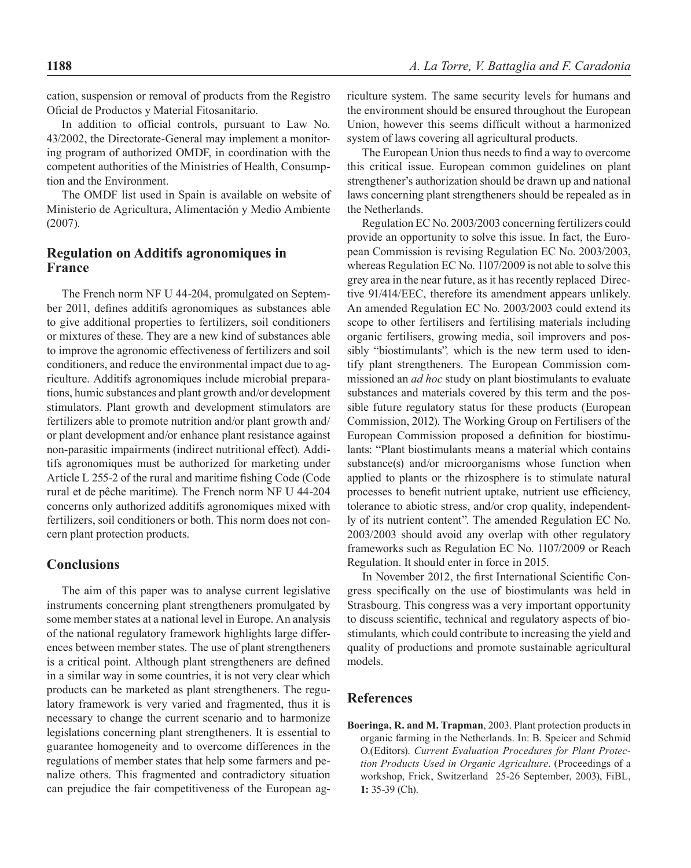cation, suspension or removal of products from the Registro Oficial de Productos y Material Fitosanitario.

In addition to official controls, pursuant to Law No. 43/2002, the Directorate-General may implement a monitoring program of authorized OMDF, in coordination with the competent authorities of the Ministries of Health, Consumption and the Environment.

The OMDF list used in Spain is available on website of Ministerio de Agricultura, Alimentación y Medio Ambiente (2007).

#### **Regulation on Additifs agronomiques in France**

The French norm NF U 44-204, promulgated on September 2011, defines additifs agronomiques as substances able to give additional properties to fertilizers, soil conditioners or mixtures of these. They are a new kind of substances able to improve the agronomic effectiveness of fertilizers and soil conditioners, and reduce the environmental impact due to agriculture. Additifs agronomiques include microbial preparations, humic substances and plant growth and/or development stimulators. Plant growth and development stimulators are fertilizers able to promote nutrition and/or plant growth and/ or plant development and/or enhance plant resistance against non-parasitic impairments (indirect nutritional effect). Additifs agronomiques must be authorized for marketing under Article L 255-2 of the rural and maritime fishing Code (Code rural et de pêche maritime). The French norm NF U 44-204 concerns only authorized additifs agronomiques mixed with fertilizers, soil conditioners or both. This norm does not concern plant protection products.

### **Conclusions**

The aim of this paper was to analyse current legislative instruments concerning plant strengtheners promulgated by some member states at a national level in Europe. An analysis of the national regulatory framework highlights large differences between member states. The use of plant strengtheners is a critical point. Although plant strengtheners are defined in a similar way in some countries, it is not very clear which products can be marketed as plant strengtheners. The regulatory framework is very varied and fragmented, thus it is necessary to change the current scenario and to harmonize legislations concerning plant strengtheners. It is essential to guarantee homogeneity and to overcome differences in the regulations of member states that help some farmers and penalize others. This fragmented and contradictory situation can prejudice the fair competitiveness of the European agriculture system. The same security levels for humans and the environment should be ensured throughout the European Union, however this seems difficult without a harmonized system of laws covering all agricultural products.

The European Union thus needs to find a way to overcome this critical issue. European common guidelines on plant strengthener's authorization should be drawn up and national laws concerning plant strengtheners should be repealed as in the Netherlands.

Regulation EC No. 2003/2003 concerning fertilizers could provide an opportunity to solve this issue. In fact, the European Commission is revising Regulation EC No. 2003/2003, whereas Regulation EC No. 1107/2009 is not able to solve this grey area in the near future, as it has recently replaced Directive 91/414/EEC, therefore its amendment appears unlikely. An amended Regulation EC No. 2003/2003 could extend its scope to other fertilisers and fertilising materials including organic fertilisers, growing media, soil improvers and possibly "biostimulants"*,* which is the new term used to identify plant strengtheners. The European Commission commissioned an *ad hoc* study on plant biostimulants to evaluate substances and materials covered by this term and the possible future regulatory status for these products (European Commission, 2012). The Working Group on Fertilisers of the European Commission proposed a definition for biostimulants: "Plant biostimulants means a material which contains substance(s) and/or microorganisms whose function when applied to plants or the rhizosphere is to stimulate natural processes to benefit nutrient uptake, nutrient use efficiency, tolerance to abiotic stress, and/or crop quality, independently of its nutrient content". The amended Regulation EC No. 2003/2003 should avoid any overlap with other regulatory frameworks such as Regulation EC No. 1107/2009 or Reach Regulation. It should enter in force in 2015.

In November 2012, the first International Scientific Congress specifically on the use of biostimulants was held in Strasbourg. This congress was a very important opportunity to discuss scientific, technical and regulatory aspects of biostimulants*,* which could contribute to increasing the yield and quality of productions and promote sustainable agricultural models.

#### **References**

**Boeringa, R. and M. Trapman**, 2003. Plant protection products in organic farming in the Netherlands. In: B. Speicer and Schmid O.(Editors). *Current Evaluation Procedures for Plant Protection Products Used in Organic Agriculture*. (Proceedings of a workshop, Frick, Switzerland 25-26 September, 2003), FiBL, **1:** 35-39 (Ch).